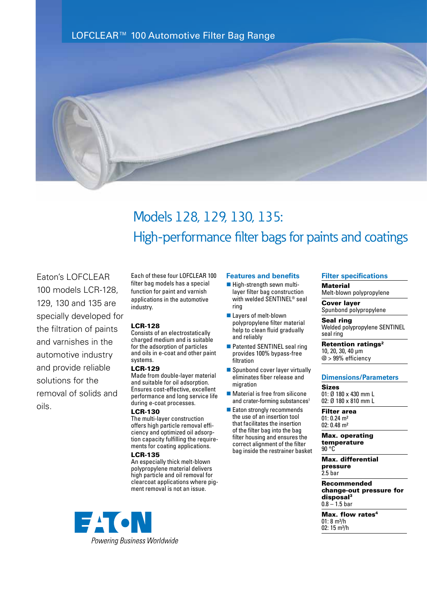



# Models 128, 129, 130, 135: High-performance filter bags for paints and coatings

Eaton's LOFCLEAR 100 models LCR-128, 129, 130 and 135 are specially developed for the filtration of paints and varnishes in the automotive industry and provide reliable solutions for the removal of solids and oils.

Each of these four LOFCLEAR 100 filter bag models has a special function for paint and varnish applications in the automotive industry.

### LCR-128

Consists of an electrostatically charged medium and is suitable for the adsorption of particles and oils in e-coat and other paint systems.

### LCR-129

Made from double-layer material and suitable for oil adsorption. Ensures cost-effective, excellent performance and long service life during e-coat processes.

# LCR-130

The multi-layer construction offers high particle removal efficiency and optimized oil adsorption capacity fulfilling the requirements for coating applications.

#### LCR-135

An especially thick melt-blown polypropylene material delivers high particle and oil removal for clearcoat applications where pigment removal is not an issue.



#### **Features and benefits**

- $\blacksquare$  High-strength sewn multilayer filter bag construction with welded SENTINEL® seal ring
- Layers of melt-blown polypropylene filter material help to clean fluid gradually and reliably
- Patented SENTINEL seal ring provides 100% bypass-free filtration
- $\blacksquare$  Spunbond cover layer virtually eliminates fiber release and migration
- $\blacksquare$  Material is free from silicone and crater-forming substances<sup>1</sup>
- Eaton strongly recommends the use of an insertion tool that facilitates the insertion of the filter bag into the bag filter housing and ensures the correct alignment of the filter bag inside the restrainer basket

### **Filter specifications**

**Material** 

Melt-blown polypropylene

Cover layer Spunbond polypropylene

Seal ring Welded polypropylene SENTINEL seal ring

Retention ratings<sup>2</sup> 10, 20, 30, 40 µm @ > 99% efficiency

# **Dimensions/Parameters**

**Sizes** 01: Ø 180 x 430 mm L 02: Ø 180 x 810 mm L

Filter area 01: 0.24 m² 02: 0.48 m²

Max. operating temperature 90 °C

Max. differential pressure 2.5 bar

Recommended change-out pressure for disposal3  $0.8 - 1.5$  bar

Max. flow rates<sup>4</sup>  $01: 8 m<sup>3</sup>/h$ 02: 15 m<sup>3</sup>/h